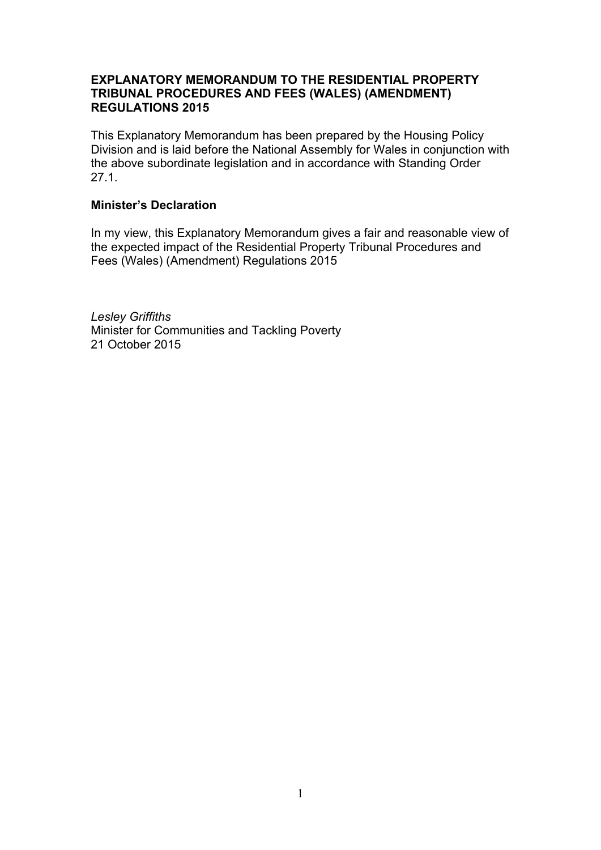### **EXPLANATORY MEMORANDUM TO THE RESIDENTIAL PROPERTY TRIBUNAL PROCEDURES AND FEES (WALES) (AMENDMENT) REGULATIONS 2015**

This Explanatory Memorandum has been prepared by the Housing Policy Division and is laid before the National Assembly for Wales in conjunction with the above subordinate legislation and in accordance with Standing Order 27.1.

### **Minister's Declaration**

In my view, this Explanatory Memorandum gives a fair and reasonable view of the expected impact of the Residential Property Tribunal Procedures and Fees (Wales) (Amendment) Regulations 2015

*Lesley Griffiths* Minister for Communities and Tackling Poverty 21 October 2015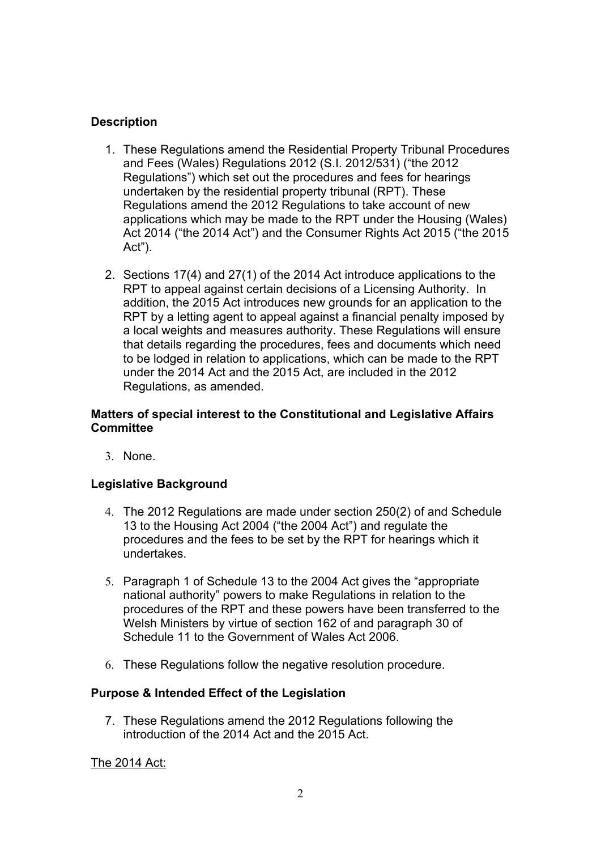# **Description**

- 1. These Regulations amend the Residential Property Tribunal Procedures and Fees (Wales) Regulations 2012 (S.I. 2012/531) ("the 2012 Regulations") which set out the procedures and fees for hearings undertaken by the residential property tribunal (RPT). These Regulations amend the 2012 Regulations to take account of new applications which may be made to the RPT under the Housing (Wales) Act 2014 ("the 2014 Act") and the Consumer Rights Act 2015 ("the 2015 Act").
- 2. Sections 17(4) and 27(1) of the 2014 Act introduce applications to the RPT to appeal against certain decisions of a Licensing Authority. In addition, the 2015 Act introduces new grounds for an application to the RPT by a letting agent to appeal against a financial penalty imposed by a local weights and measures authority. These Regulations will ensure that details regarding the procedures, fees and documents which need to be lodged in relation to applications, which can be made to the RPT under the 2014 Act and the 2015 Act, are included in the 2012 Regulations, as amended.

### **Matters of special interest to the Constitutional and Legislative Affairs Committee**

3. None.

## **Legislative Background**

- 4. The 2012 Regulations are made under section 250(2) of and Schedule 13 to the Housing Act 2004 ("the 2004 Act") and regulate the procedures and the fees to be set by the RPT for hearings which it undertakes.
- 5. Paragraph 1 of Schedule 13 to the 2004 Act gives the "appropriate national authority" powers to make Regulations in relation to the procedures of the RPT and these powers have been transferred to the Welsh Ministers by virtue of section 162 of and paragraph 30 of Schedule 11 to the Government of Wales Act 2006.
- 6. These Regulations follow the negative resolution procedure.

### **Purpose & Intended Effect of the Legislation**

7. These Regulations amend the 2012 Regulations following the introduction of the 2014 Act and the 2015 Act.

The 2014 Act: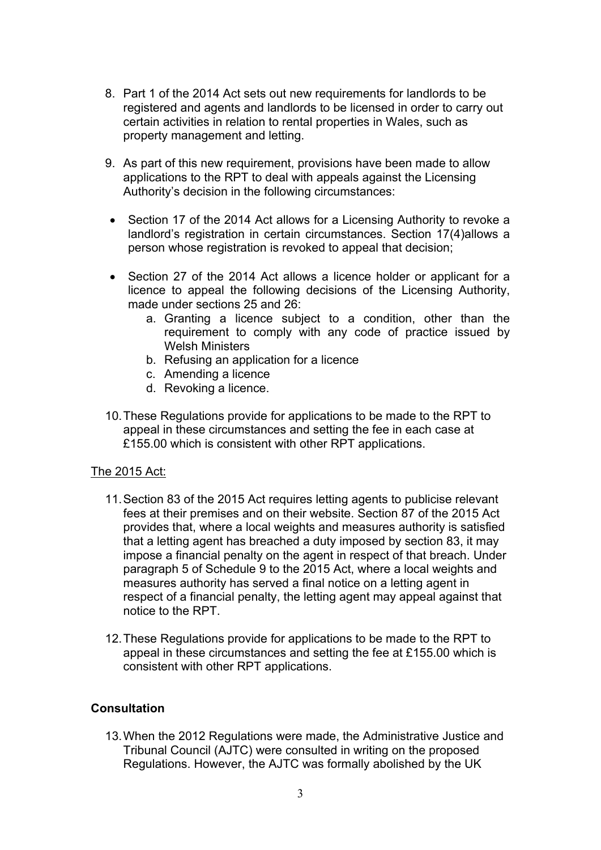- 8. Part 1 of the 2014 Act sets out new requirements for landlords to be registered and agents and landlords to be licensed in order to carry out certain activities in relation to rental properties in Wales, such as property management and letting.
- 9. As part of this new requirement, provisions have been made to allow applications to the RPT to deal with appeals against the Licensing Authority's decision in the following circumstances:
- Section 17 of the 2014 Act allows for a Licensing Authority to revoke a landlord's registration in certain circumstances. Section 17(4)allows a person whose registration is revoked to appeal that decision;
- Section 27 of the 2014 Act allows a licence holder or applicant for a licence to appeal the following decisions of the Licensing Authority, made under sections 25 and 26:
	- a. Granting a licence subject to a condition, other than the requirement to comply with any code of practice issued by Welsh Ministers
	- b. Refusing an application for a licence
	- c. Amending a licence
	- d. Revoking a licence.
- 10.These Regulations provide for applications to be made to the RPT to appeal in these circumstances and setting the fee in each case at £155.00 which is consistent with other RPT applications.

### The 2015 Act:

- 11.Section 83 of the 2015 Act requires letting agents to publicise relevant fees at their premises and on their website. Section 87 of the 2015 Act provides that, where a local weights and measures authority is satisfied that a letting agent has breached a duty imposed by section 83, it may impose a financial penalty on the agent in respect of that breach. Under paragraph 5 of Schedule 9 to the 2015 Act, where a local weights and measures authority has served a final notice on a letting agent in respect of a financial penalty, the letting agent may appeal against that notice to the RPT.
- 12.These Regulations provide for applications to be made to the RPT to appeal in these circumstances and setting the fee at £155.00 which is consistent with other RPT applications.

### **Consultation**

13.When the 2012 Regulations were made, the Administrative Justice and Tribunal Council (AJTC) were consulted in writing on the proposed Regulations. However, the AJTC was formally abolished by the UK